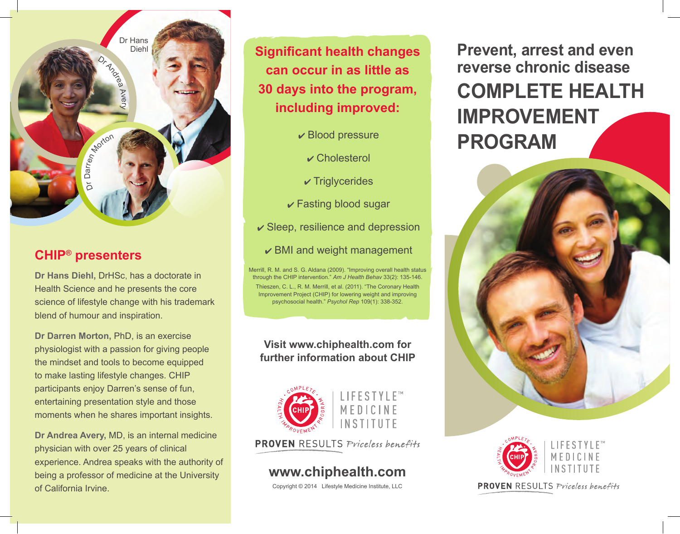Dr Andre Av ery Dr D arren Morton Dr Hans Diehl

## **CHIP® presenters**

**Dr Hans Diehl,** DrHSc, has a doctorate in Health Science and he presents the core science of lifestyle change with his trademark blend of humour and inspiration.

**Dr Darren Morton,** PhD, is an exercise physiologist with a passion for giving people the mindset and tools to become equipped to make lasting lifestyle changes. CHIP participants enjoy Darren's sense of fun, entertaining presentation style and those moments when he shares important insights.

**Dr Andrea Avery,** MD, is an internal medicine physician with over 25 years of clinical experience. Andrea speaks with the authority of being a professor of medicine at the University of California Irvine.

**Significant health changes can occur in as little as 30 days into the program, including improved:**

- $\mathbf{\triangledown}$  Blood pressure
	- Cholesterol
- $\sqrt{\ }$ Triglycerides
- $\sqrt{\ }$  Fasting blood sugar
- $\checkmark$  Sleep, resilience and depression
	- $\vee$  BMI and weight management

Merrill, R. M. and S. G. Aldana (2009). "Improving overall health status through the CHIP intervention." *Am J Health Behav* 33(2): 135-146. Thieszen, C. L., R. M. Merrill, et al. (2011). "The Coronary Health Improvement Project (CHIP) for lowering weight and improving psychosocial health." *Psychol Rep* 109(1): 338-352.

#### **Visit www.chiphealth.com for further information about CHIP**





**PROVEN** RESULTS Priceless benefits

# **www.chiphealth.com**

Copyright © 2014 Lifestyle Medicine Institute, LLC

**Prevent, arrest and even reverse chronic disease COMPLETE HEALTH IMPROVEMENT PROGRAM**